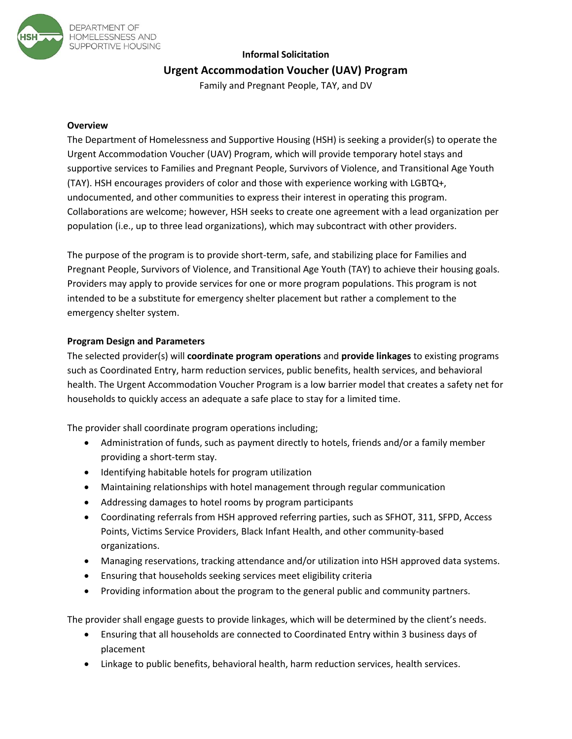

# **Informal Solicitation Urgent Accommodation Voucher (UAV) Program**

Family and Pregnant People, TAY, and DV

### **Overview**

The Department of Homelessness and Supportive Housing (HSH) is seeking a provider(s) to operate the Urgent Accommodation Voucher (UAV) Program, which will provide temporary hotel stays and supportive services to Families and Pregnant People, Survivors of Violence, and Transitional Age Youth (TAY). HSH encourages providers of color and those with experience working with LGBTQ+, undocumented, and other communities to express their interest in operating this program. Collaborations are welcome; however, HSH seeks to create one agreement with a lead organization per population (i.e., up to three lead organizations), which may subcontract with other providers.

The purpose of the program is to provide short-term, safe, and stabilizing place for Families and Pregnant People, Survivors of Violence, and Transitional Age Youth (TAY) to achieve their housing goals. Providers may apply to provide services for one or more program populations. This program is not intended to be a substitute for emergency shelter placement but rather a complement to the emergency shelter system.

# **Program Design and Parameters**

The selected provider(s) will **coordinate program operations** and **provide linkages** to existing programs such as Coordinated Entry, harm reduction services, public benefits, health services, and behavioral health. The Urgent Accommodation Voucher Program is a low barrier model that creates a safety net for households to quickly access an adequate a safe place to stay for a limited time.

The provider shall coordinate program operations including;

- Administration of funds, such as payment directly to hotels, friends and/or a family member providing a short-term stay.
- Identifying habitable hotels for program utilization
- Maintaining relationships with hotel management through regular communication
- Addressing damages to hotel rooms by program participants
- Coordinating referrals from HSH approved referring parties, such as SFHOT, 311, SFPD, Access Points, Victims Service Providers, Black Infant Health, and other community-based organizations.
- Managing reservations, tracking attendance and/or utilization into HSH approved data systems.
- Ensuring that households seeking services meet eligibility criteria
- Providing information about the program to the general public and community partners.

The provider shall engage guests to provide linkages, which will be determined by the client's needs.

- Ensuring that all households are connected to Coordinated Entry within 3 business days of placement
- Linkage to public benefits, behavioral health, harm reduction services, health services.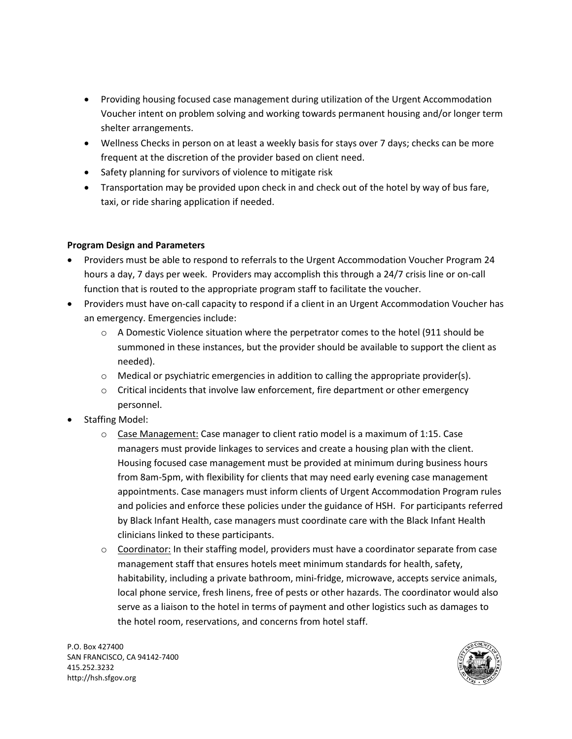- Providing housing focused case management during utilization of the Urgent Accommodation Voucher intent on problem solving and working towards permanent housing and/or longer term shelter arrangements.
- Wellness Checks in person on at least a weekly basis for stays over 7 days; checks can be more frequent at the discretion of the provider based on client need.
- Safety planning for survivors of violence to mitigate risk
- Transportation may be provided upon check in and check out of the hotel by way of bus fare, taxi, or ride sharing application if needed.

# **Program Design and Parameters**

- Providers must be able to respond to referrals to the Urgent Accommodation Voucher Program 24 hours a day, 7 days per week. Providers may accomplish this through a 24/7 crisis line or on-call function that is routed to the appropriate program staff to facilitate the voucher.
- Providers must have on-call capacity to respond if a client in an Urgent Accommodation Voucher has an emergency. Emergencies include:
	- $\circ$  A Domestic Violence situation where the perpetrator comes to the hotel (911 should be summoned in these instances, but the provider should be available to support the client as needed).
	- $\circ$  Medical or psychiatric emergencies in addition to calling the appropriate provider(s).
	- $\circ$  Critical incidents that involve law enforcement, fire department or other emergency personnel.
- Staffing Model:
	- $\circ$  Case Management: Case manager to client ratio model is a maximum of 1:15. Case managers must provide linkages to services and create a housing plan with the client. Housing focused case management must be provided at minimum during business hours from 8am-5pm, with flexibility for clients that may need early evening case management appointments. Case managers must inform clients of Urgent Accommodation Program rules and policies and enforce these policies under the guidance of HSH. For participants referred by Black Infant Health, case managers must coordinate care with the Black Infant Health clinicians linked to these participants.
	- $\circ$  Coordinator: In their staffing model, providers must have a coordinator separate from case management staff that ensures hotels meet minimum standards for health, safety, habitability, including a private bathroom, mini-fridge, microwave, accepts service animals, local phone service, fresh linens, free of pests or other hazards. The coordinator would also serve as a liaison to the hotel in terms of payment and other logistics such as damages to the hotel room, reservations, and concerns from hotel staff.

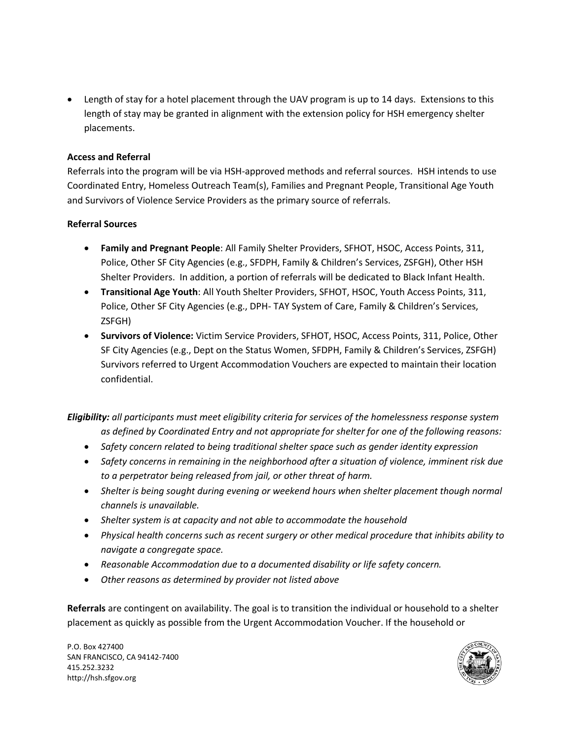• Length of stay for a hotel placement through the UAV program is up to 14 days. Extensions to this length of stay may be granted in alignment with the extension policy for HSH emergency shelter placements.

#### **Access and Referral**

Referrals into the program will be via HSH-approved methods and referral sources. HSH intends to use Coordinated Entry, Homeless Outreach Team(s), Families and Pregnant People, Transitional Age Youth and Survivors of Violence Service Providers as the primary source of referrals.

#### **Referral Sources**

- **Family and Pregnant People**: All Family Shelter Providers, SFHOT, HSOC, Access Points, 311, Police, Other SF City Agencies (e.g., SFDPH, Family & Children's Services, ZSFGH), Other HSH Shelter Providers. In addition, a portion of referrals will be dedicated to Black Infant Health.
- **Transitional Age Youth**: All Youth Shelter Providers, SFHOT, HSOC, Youth Access Points, 311, Police, Other SF City Agencies (e.g., DPH- TAY System of Care, Family & Children's Services, ZSFGH)
- **Survivors of Violence:** Victim Service Providers, SFHOT, HSOC, Access Points, 311, Police, Other SF City Agencies (e.g., Dept on the Status Women, SFDPH, Family & Children's Services, ZSFGH) Survivors referred to Urgent Accommodation Vouchers are expected to maintain their location confidential.

*Eligibility: all participants must meet eligibility criteria for services of the homelessness response system as defined by Coordinated Entry and not appropriate for shelter for one of the following reasons:*

- *Safety concern related to being traditional shelter space such as gender identity expression*
- *Safety concerns in remaining in the neighborhood after a situation of violence, imminent risk due to a perpetrator being released from jail, or other threat of harm.*
- *Shelter is being sought during evening or weekend hours when shelter placement though normal channels is unavailable.*
- *Shelter system is at capacity and not able to accommodate the household*
- *Physical health concerns such as recent surgery or other medical procedure that inhibits ability to navigate a congregate space.*
- *Reasonable Accommodation due to a documented disability or life safety concern.*
- *Other reasons as determined by provider not listed above*

**Referrals** are contingent on availability. The goal is to transition the individual or household to a shelter placement as quickly as possible from the Urgent Accommodation Voucher. If the household or

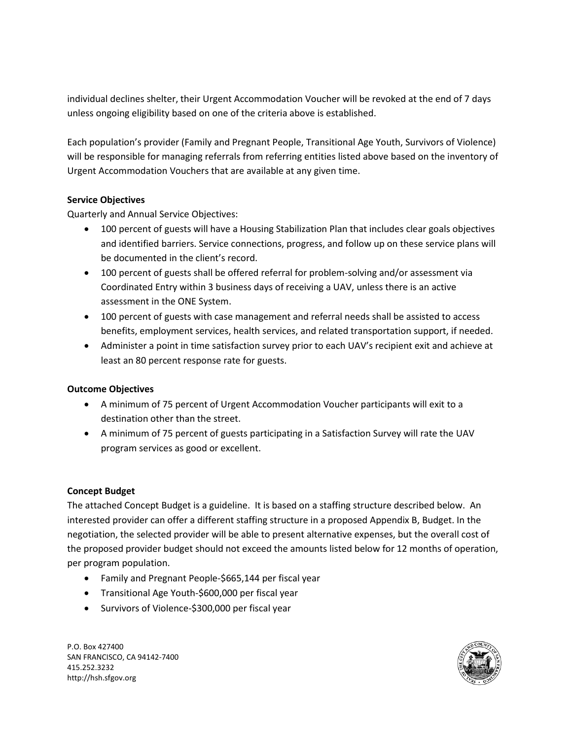individual declines shelter, their Urgent Accommodation Voucher will be revoked at the end of 7 days unless ongoing eligibility based on one of the criteria above is established.

Each population's provider (Family and Pregnant People, Transitional Age Youth, Survivors of Violence) will be responsible for managing referrals from referring entities listed above based on the inventory of Urgent Accommodation Vouchers that are available at any given time.

### **Service Objectives**

Quarterly and Annual Service Objectives:

- 100 percent of guests will have a Housing Stabilization Plan that includes clear goals objectives and identified barriers. Service connections, progress, and follow up on these service plans will be documented in the client's record.
- 100 percent of guests shall be offered referral for problem-solving and/or assessment via Coordinated Entry within 3 business days of receiving a UAV, unless there is an active assessment in the ONE System.
- 100 percent of guests with case management and referral needs shall be assisted to access benefits, employment services, health services, and related transportation support, if needed.
- Administer a point in time satisfaction survey prior to each UAV's recipient exit and achieve at least an 80 percent response rate for guests.

### **Outcome Objectives**

- A minimum of 75 percent of Urgent Accommodation Voucher participants will exit to a destination other than the street.
- A minimum of 75 percent of guests participating in a Satisfaction Survey will rate the UAV program services as good or excellent.

### **Concept Budget**

The attached Concept Budget is a guideline. It is based on a staffing structure described below. An interested provider can offer a different staffing structure in a proposed Appendix B, Budget. In the negotiation, the selected provider will be able to present alternative expenses, but the overall cost of the proposed provider budget should not exceed the amounts listed below for 12 months of operation, per program population.

- Family and Pregnant People-\$665,144 per fiscal year
- Transitional Age Youth-\$600,000 per fiscal year
- Survivors of Violence-\$300,000 per fiscal year

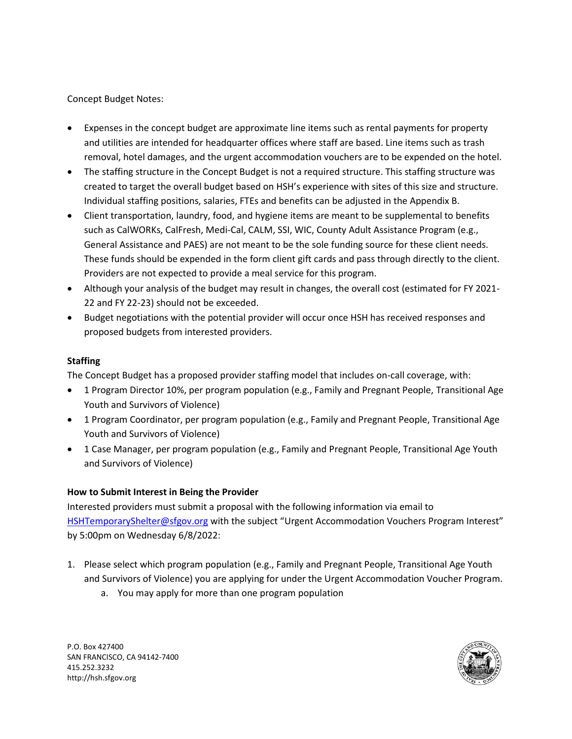Concept Budget Notes:

- Expenses in the concept budget are approximate line items such as rental payments for property and utilities are intended for headquarter offices where staff are based. Line items such as trash removal, hotel damages, and the urgent accommodation vouchers are to be expended on the hotel.
- The staffing structure in the Concept Budget is not a required structure. This staffing structure was created to target the overall budget based on HSH's experience with sites of this size and structure. Individual staffing positions, salaries, FTEs and benefits can be adjusted in the Appendix B.
- Client transportation, laundry, food, and hygiene items are meant to be supplemental to benefits such as CalWORKs, CalFresh, Medi-Cal, CALM, SSI, WIC, County Adult Assistance Program (e.g., General Assistance and PAES) are not meant to be the sole funding source for these client needs. These funds should be expended in the form client gift cards and pass through directly to the client. Providers are not expected to provide a meal service for this program.
- Although your analysis of the budget may result in changes, the overall cost (estimated for FY 2021- 22 and FY 22-23) should not be exceeded.
- Budget negotiations with the potential provider will occur once HSH has received responses and proposed budgets from interested providers.

#### **Staffing**

The Concept Budget has a proposed provider staffing model that includes on-call coverage, with:

- 1 Program Director 10%, per program population (e.g., Family and Pregnant People, Transitional Age Youth and Survivors of Violence)
- 1 Program Coordinator, per program population (e.g., Family and Pregnant People, Transitional Age Youth and Survivors of Violence)
- 1 Case Manager, per program population (e.g., Family and Pregnant People, Transitional Age Youth and Survivors of Violence)

### **How to Submit Interest in Being the Provider**

Interested providers must submit a proposal with the following information via email to [HSHTemporaryShelter@sfgov.org](mailto:HSHTemporaryShelter@sfgov.org) with the subject "Urgent Accommodation Vouchers Program Interest" by 5:00pm on Wednesday 6/8/2022:

- 1. Please select which program population (e.g., Family and Pregnant People, Transitional Age Youth and Survivors of Violence) you are applying for under the Urgent Accommodation Voucher Program.
	- a. You may apply for more than one program population

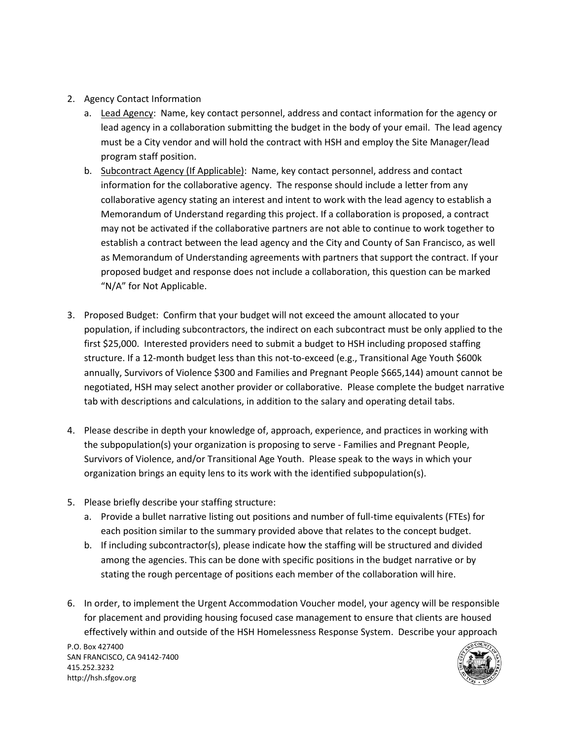- 2. Agency Contact Information
	- a. Lead Agency: Name, key contact personnel, address and contact information for the agency or lead agency in a collaboration submitting the budget in the body of your email. The lead agency must be a City vendor and will hold the contract with HSH and employ the Site Manager/lead program staff position.
	- b. Subcontract Agency (If Applicable): Name, key contact personnel, address and contact information for the collaborative agency. The response should include a letter from any collaborative agency stating an interest and intent to work with the lead agency to establish a Memorandum of Understand regarding this project. If a collaboration is proposed, a contract may not be activated if the collaborative partners are not able to continue to work together to establish a contract between the lead agency and the City and County of San Francisco, as well as Memorandum of Understanding agreements with partners that support the contract. If your proposed budget and response does not include a collaboration, this question can be marked "N/A" for Not Applicable.
- 3. Proposed Budget: Confirm that your budget will not exceed the amount allocated to your population, if including subcontractors, the indirect on each subcontract must be only applied to the first \$25,000. Interested providers need to submit a budget to HSH including proposed staffing structure. If a 12-month budget less than this not-to-exceed (e.g., Transitional Age Youth \$600k annually, Survivors of Violence \$300 and Families and Pregnant People \$665,144) amount cannot be negotiated, HSH may select another provider or collaborative. Please complete the budget narrative tab with descriptions and calculations, in addition to the salary and operating detail tabs.
- 4. Please describe in depth your knowledge of, approach, experience, and practices in working with the subpopulation(s) your organization is proposing to serve - Families and Pregnant People, Survivors of Violence, and/or Transitional Age Youth. Please speak to the ways in which your organization brings an equity lens to its work with the identified subpopulation(s).
- 5. Please briefly describe your staffing structure:
	- a. Provide a bullet narrative listing out positions and number of full-time equivalents (FTEs) for each position similar to the summary provided above that relates to the concept budget.
	- b. If including subcontractor(s), please indicate how the staffing will be structured and divided among the agencies. This can be done with specific positions in the budget narrative or by stating the rough percentage of positions each member of the collaboration will hire.
- 6. In order, to implement the Urgent Accommodation Voucher model, your agency will be responsible for placement and providing housing focused case management to ensure that clients are housed effectively within and outside of the HSH Homelessness Response System. Describe your approach